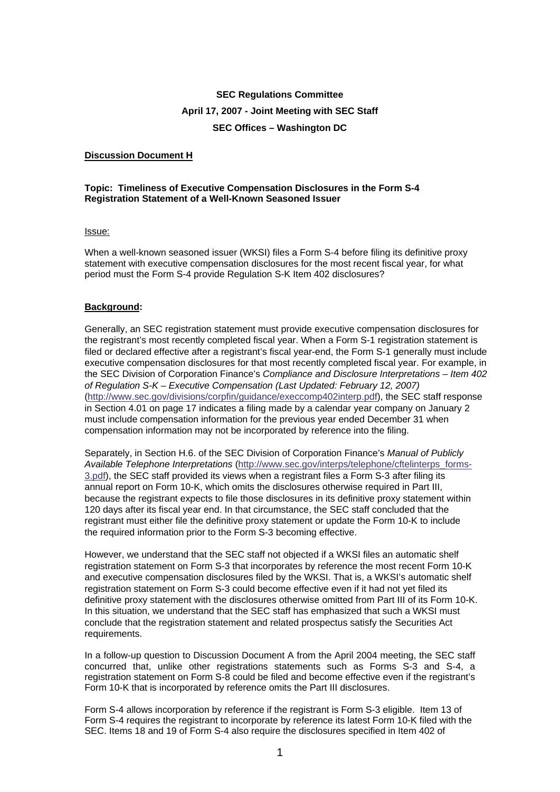# **SEC Regulations Committee April 17, 2007 - Joint Meeting with SEC Staff SEC Offices – Washington DC**

## **Discussion Document H**

### **Topic: Timeliness of Executive Compensation Disclosures in the Form S-4 Registration Statement of a Well-Known Seasoned Issuer**

#### Issue:

When a well-known seasoned issuer (WKSI) files a Form S-4 before filing its definitive proxy statement with executive compensation disclosures for the most recent fiscal year, for what period must the Form S-4 provide Regulation S-K Item 402 disclosures?

#### **Background:**

Generally, an SEC registration statement must provide executive compensation disclosures for the registrant's most recently completed fiscal year. When a Form S-1 registration statement is filed or declared effective after a registrant's fiscal year-end, the Form S-1 generally must include executive compensation disclosures for that most recently completed fiscal year. For example, in the SEC Division of Corporation Finance's *Compliance and Disclosure Interpretations – Item 402 of Regulation S-K – Executive Compensation (Last Updated: February 12, 2007)* [\(http://www.sec.gov/divisions/corpfin/guidance/execcomp402interp.pdf](http://www.sec.gov/divisions/corpfin/guidance/execcomp402interp.pdf)), the SEC staff response in Section 4.01 on page 17 indicates a filing made by a calendar year company on January 2 must include compensation information for the previous year ended December 31 when compensation information may not be incorporated by reference into the filing.

Separately, in Section H.6. of the SEC Division of Corporation Finance's *Manual of Publicly Available Telephone Interpretations* [\(http://www.sec.gov/interps/telephone/cftelinterps\\_forms-](http://www.sec.gov/interps/telephone/cftelinterps_forms-3.pdf)[3.pdf](http://www.sec.gov/interps/telephone/cftelinterps_forms-3.pdf)), the SEC staff provided its views when a registrant files a Form S-3 after filing its annual report on Form 10-K, which omits the disclosures otherwise required in Part III, because the registrant expects to file those disclosures in its definitive proxy statement within 120 days after its fiscal year end. In that circumstance, the SEC staff concluded that the registrant must either file the definitive proxy statement or update the Form 10-K to include the required information prior to the Form S-3 becoming effective.

However, we understand that the SEC staff not objected if a WKSI files an automatic shelf registration statement on Form S-3 that incorporates by reference the most recent Form 10-K and executive compensation disclosures filed by the WKSI. That is, a WKSI's automatic shelf registration statement on Form S-3 could become effective even if it had not yet filed its definitive proxy statement with the disclosures otherwise omitted from Part III of its Form 10-K. In this situation, we understand that the SEC staff has emphasized that such a WKSI must conclude that the registration statement and related prospectus satisfy the Securities Act requirements.

In a follow-up question to Discussion Document A from the April 2004 meeting, the SEC staff concurred that, unlike other registrations statements such as Forms S-3 and S-4, a registration statement on Form S-8 could be filed and become effective even if the registrant's Form 10-K that is incorporated by reference omits the Part III disclosures.

Form S-4 allows incorporation by reference if the registrant is Form S-3 eligible. Item 13 of Form S-4 requires the registrant to incorporate by reference its latest Form 10-K filed with the SEC. Items 18 and 19 of Form S-4 also require the disclosures specified in Item 402 of